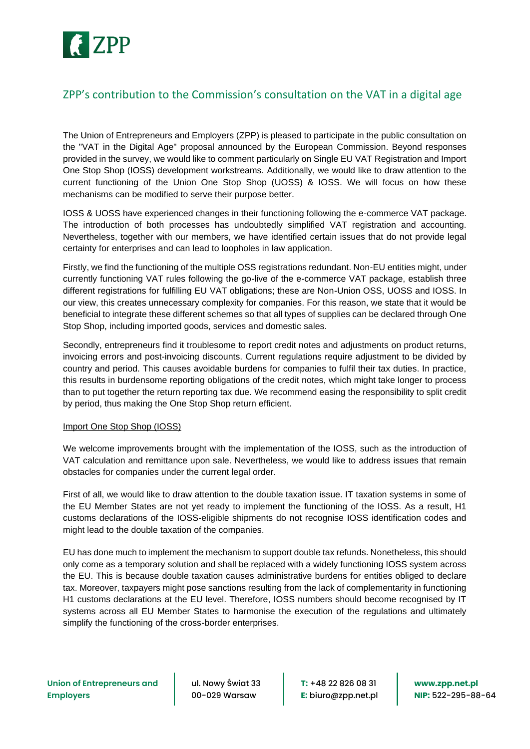

## ZPP's contribution to the Commission's consultation on the VAT in a digital age

The Union of Entrepreneurs and Employers (ZPP) is pleased to participate in the public consultation on the "VAT in the Digital Age" proposal announced by the European Commission. Beyond responses provided in the survey, we would like to comment particularly on Single EU VAT Registration and Import One Stop Shop (IOSS) development workstreams. Additionally, we would like to draw attention to the current functioning of the Union One Stop Shop (UOSS) & IOSS. We will focus on how these mechanisms can be modified to serve their purpose better.

IOSS & UOSS have experienced changes in their functioning following the e-commerce VAT package. The introduction of both processes has undoubtedly simplified VAT registration and accounting. Nevertheless, together with our members, we have identified certain issues that do not provide legal certainty for enterprises and can lead to loopholes in law application.

Firstly, we find the functioning of the multiple OSS registrations redundant. Non-EU entities might, under currently functioning VAT rules following the go-live of the e-commerce VAT package, establish three different registrations for fulfilling EU VAT obligations; these are Non-Union OSS, UOSS and IOSS. In our view, this creates unnecessary complexity for companies. For this reason, we state that it would be beneficial to integrate these different schemes so that all types of supplies can be declared through One Stop Shop, including imported goods, services and domestic sales.

Secondly, entrepreneurs find it troublesome to report credit notes and adjustments on product returns, invoicing errors and post-invoicing discounts. Current regulations require adjustment to be divided by country and period. This causes avoidable burdens for companies to fulfil their tax duties. In practice, this results in burdensome reporting obligations of the credit notes, which might take longer to process than to put together the return reporting tax due. We recommend easing the responsibility to split credit by period, thus making the One Stop Shop return efficient.

## Import One Stop Shop (IOSS)

We welcome improvements brought with the implementation of the IOSS, such as the introduction of VAT calculation and remittance upon sale. Nevertheless, we would like to address issues that remain obstacles for companies under the current legal order.

First of all, we would like to draw attention to the double taxation issue. IT taxation systems in some of the EU Member States are not yet ready to implement the functioning of the IOSS. As a result, H1 customs declarations of the IOSS-eligible shipments do not recognise IOSS identification codes and might lead to the double taxation of the companies.

EU has done much to implement the mechanism to support double tax refunds. Nonetheless, this should only come as a temporary solution and shall be replaced with a widely functioning IOSS system across the EU. This is because double taxation causes administrative burdens for entities obliged to declare tax. Moreover, taxpayers might pose sanctions resulting from the lack of complementarity in functioning H1 customs declarations at the EU level. Therefore, IOSS numbers should become recognised by IT systems across all EU Member States to harmonise the execution of the regulations and ultimately simplify the functioning of the cross-border enterprises.

ul. Nowy Świat 33 00-029 Warsaw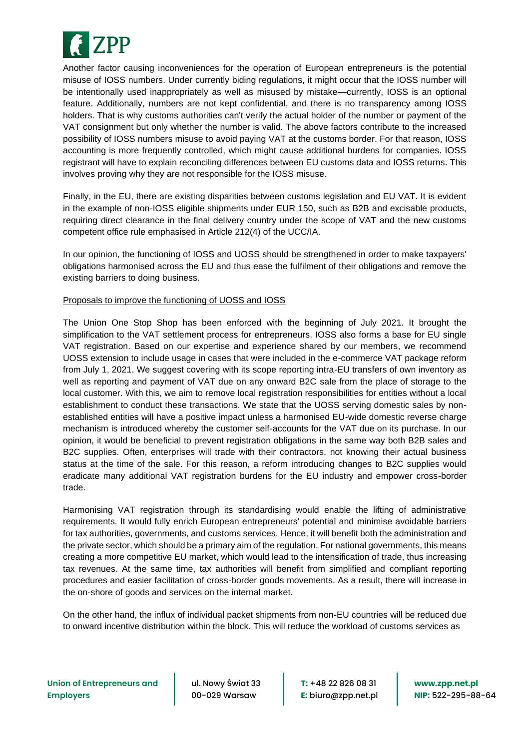

Another factor causing inconveniences for the operation of European entrepreneurs is the potential misuse of IOSS numbers. Under currently biding regulations, it might occur that the IOSS number will be intentionally used inappropriately as well as misused by mistake—currently, IOSS is an optional feature. Additionally, numbers are not kept confidential, and there is no transparency among IOSS holders. That is why customs authorities can't verify the actual holder of the number or payment of the VAT consignment but only whether the number is valid. The above factors contribute to the increased possibility of IOSS numbers misuse to avoid paying VAT at the customs border. For that reason, IOSS accounting is more frequently controlled, which might cause additional burdens for companies. IOSS registrant will have to explain reconciling differences between EU customs data and IOSS returns. This involves proving why they are not responsible for the IOSS misuse.

Finally, in the EU, there are existing disparities between customs legislation and EU VAT. It is evident in the example of non-IOSS eligible shipments under EUR 150, such as B2B and excisable products, requiring direct clearance in the final delivery country under the scope of VAT and the new customs competent office rule emphasised in Article 212(4) of the UCC/IA.

In our opinion, the functioning of IOSS and UOSS should be strengthened in order to make taxpayers' obligations harmonised across the EU and thus ease the fulfilment of their obligations and remove the existing barriers to doing business.

## Proposals to improve the functioning of UOSS and IOSS

The Union One Stop Shop has been enforced with the beginning of July 2021. It brought the simplification to the VAT settlement process for entrepreneurs. IOSS also forms a base for EU single VAT registration. Based on our expertise and experience shared by our members, we recommend UOSS extension to include usage in cases that were included in the e-commerce VAT package reform from July 1, 2021. We suggest covering with its scope reporting intra-EU transfers of own inventory as well as reporting and payment of VAT due on any onward B2C sale from the place of storage to the local customer. With this, we aim to remove local registration responsibilities for entities without a local establishment to conduct these transactions. We state that the UOSS serving domestic sales by nonestablished entities will have a positive impact unless a harmonised EU-wide domestic reverse charge mechanism is introduced whereby the customer self-accounts for the VAT due on its purchase. In our opinion, it would be beneficial to prevent registration obligations in the same way both B2B sales and B2C supplies. Often, enterprises will trade with their contractors, not knowing their actual business status at the time of the sale. For this reason, a reform introducing changes to B2C supplies would eradicate many additional VAT registration burdens for the EU industry and empower cross-border trade.

Harmonising VAT registration through its standardising would enable the lifting of administrative requirements. It would fully enrich European entrepreneurs' potential and minimise avoidable barriers for tax authorities, governments, and customs services. Hence, it will benefit both the administration and the private sector, which should be a primary aim of the regulation. For national governments, this means creating a more competitive EU market, which would lead to the intensification of trade, thus increasing tax revenues. At the same time, tax authorities will benefit from simplified and compliant reporting procedures and easier facilitation of cross-border goods movements. As a result, there will increase in the on-shore of goods and services on the internal market.

On the other hand, the influx of individual packet shipments from non-EU countries will be reduced due to onward incentive distribution within the block. This will reduce the workload of customs services as

ul. Nowy Świat 33 00-029 Warsaw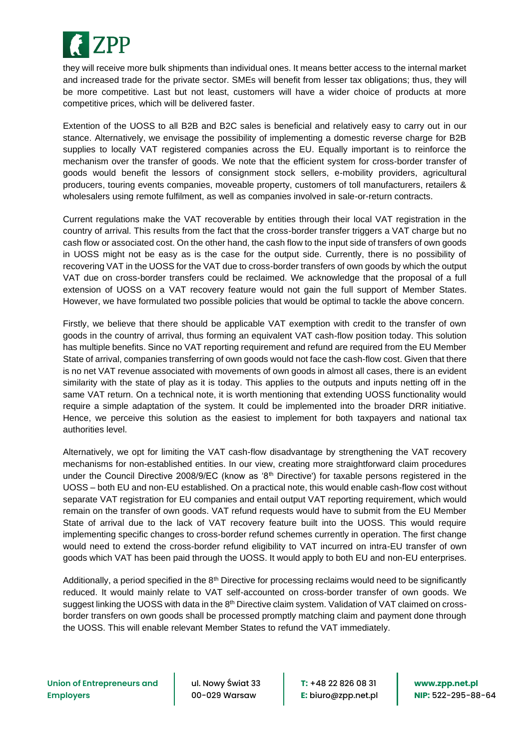

they will receive more bulk shipments than individual ones. It means better access to the internal market and increased trade for the private sector. SMEs will benefit from lesser tax obligations; thus, they will be more competitive. Last but not least, customers will have a wider choice of products at more competitive prices, which will be delivered faster.

Extention of the UOSS to all B2B and B2C sales is beneficial and relatively easy to carry out in our stance. Alternatively, we envisage the possibility of implementing a domestic reverse charge for B2B supplies to locally VAT registered companies across the EU. Equally important is to reinforce the mechanism over the transfer of goods. We note that the efficient system for cross-border transfer of goods would benefit the lessors of consignment stock sellers, e-mobility providers, agricultural producers, touring events companies, moveable property, customers of toll manufacturers, retailers & wholesalers using remote fulfilment, as well as companies involved in sale-or-return contracts.

Current regulations make the VAT recoverable by entities through their local VAT registration in the country of arrival. This results from the fact that the cross-border transfer triggers a VAT charge but no cash flow or associated cost. On the other hand, the cash flow to the input side of transfers of own goods in UOSS might not be easy as is the case for the output side. Currently, there is no possibility of recovering VAT in the UOSS for the VAT due to cross-border transfers of own goods by which the output VAT due on cross-border transfers could be reclaimed. We acknowledge that the proposal of a full extension of UOSS on a VAT recovery feature would not gain the full support of Member States. However, we have formulated two possible policies that would be optimal to tackle the above concern.

Firstly, we believe that there should be applicable VAT exemption with credit to the transfer of own goods in the country of arrival, thus forming an equivalent VAT cash-flow position today. This solution has multiple benefits. Since no VAT reporting requirement and refund are required from the EU Member State of arrival, companies transferring of own goods would not face the cash-flow cost. Given that there is no net VAT revenue associated with movements of own goods in almost all cases, there is an evident similarity with the state of play as it is today. This applies to the outputs and inputs netting off in the same VAT return. On a technical note, it is worth mentioning that extending UOSS functionality would require a simple adaptation of the system. It could be implemented into the broader DRR initiative. Hence, we perceive this solution as the easiest to implement for both taxpayers and national tax authorities level.

Alternatively, we opt for limiting the VAT cash-flow disadvantage by strengthening the VAT recovery mechanisms for non-established entities. In our view, creating more straightforward claim procedures under the Council Directive 2008/9/EC (know as '8<sup>th</sup> Directive') for taxable persons registered in the UOSS – both EU and non-EU established. On a practical note, this would enable cash-flow cost without separate VAT registration for EU companies and entail output VAT reporting requirement, which would remain on the transfer of own goods. VAT refund requests would have to submit from the EU Member State of arrival due to the lack of VAT recovery feature built into the UOSS. This would require implementing specific changes to cross-border refund schemes currently in operation. The first change would need to extend the cross-border refund eligibility to VAT incurred on intra-EU transfer of own goods which VAT has been paid through the UOSS. It would apply to both EU and non-EU enterprises.

Additionally, a period specified in the  $8<sup>th</sup>$  Directive for processing reclaims would need to be significantly reduced. It would mainly relate to VAT self-accounted on cross-border transfer of own goods. We suggest linking the UOSS with data in the 8<sup>th</sup> Directive claim system. Validation of VAT claimed on crossborder transfers on own goods shall be processed promptly matching claim and payment done through the UOSS. This will enable relevant Member States to refund the VAT immediately.

ul. Nowy Świat 33 00-029 Warsaw